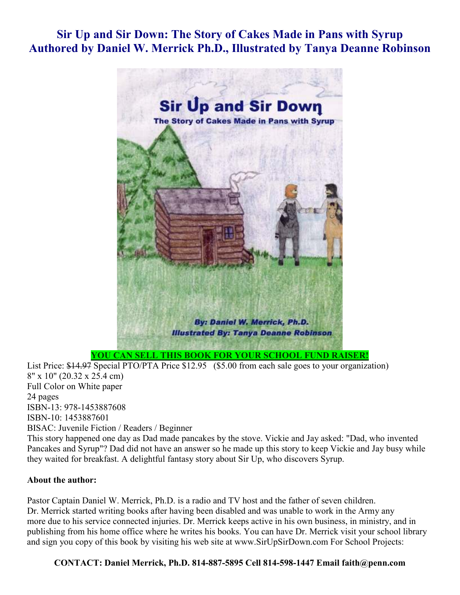## **Sir Up and Sir Down: The Story of Cakes Made in Pans with Syrup Authored by Daniel W. Merrick Ph.D., Illustrated by Tanya Deanne Robinson**



**YOU CAN SELL THIS BOOK FOR YOUR SCHOOL FUND RAISER!**

List Price: \$14.97 Special PTO/PTA Price \$12.95 (\$5.00 from each sale goes to your organization) 8" x 10" (20.32 x 25.4 cm) Full Color on White paper 24 pages ISBN-13: 978-1453887608 ISBN-10: 1453887601 BISAC: Juvenile Fiction / Readers / Beginner This story happened one day as Dad made pancakes by the stove. Vickie and Jay asked: "Dad, who invented Pancakes and Syrup"? Dad did not have an answer so he made up this story to keep Vickie and Jay busy while

they waited for breakfast. A delightful fantasy story about Sir Up, who discovers Syrup.

## **About the author:**

Pastor Captain Daniel W. Merrick, Ph.D. is a radio and TV host and the father of seven children. Dr. Merrick started writing books after having been disabled and was unable to work in the Army any more due to his service connected injuries. Dr. Merrick keeps active in his own business, in ministry, and in publishing from his home office where he writes his books. You can have Dr. Merrick visit your school library and sign you copy of this book by visiting his web site at www.SirUpSirDown.com For School Projects:

**CONTACT: Daniel Merrick, Ph.D. 814-887-5895 Cell 814-598-1447 Email faith@penn.com**